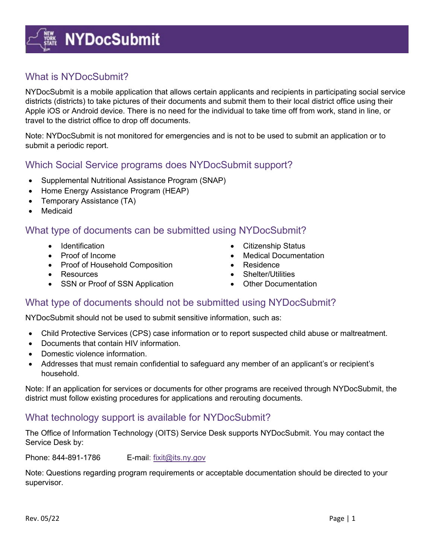# **EXE** NYDocSubmit

## What is NYDocSubmit?

NYDocSubmit is a mobile application that allows certain applicants and recipients in participating social service districts (districts) to take pictures of their documents and submit them to their local district office using their Apple iOS or Android device. There is no need for the individual to take time off from work, stand in line, or travel to the district office to drop off documents.

Note: NYDocSubmit is not monitored for emergencies and is not to be used to submit an application or to submit a periodic report.

#### Which Social Service programs does NYDocSubmit support?

- Supplemental Nutritional Assistance Program (SNAP)
- Home Energy Assistance Program (HEAP)
- Temporary Assistance (TA)
- Medicaid

## What type of documents can be submitted using NYDocSubmit?

- 
- 
- Proof of Household Composition Residence
- 
- SSN or Proof of SSN Application Other Documentation
- Identification Citizenship Status
- Proof of Income  **Medical Documentation** 
	-
- Resources Shelter/Utilities
	-

#### What type of documents should not be submitted using NYDocSubmit?

NYDocSubmit should not be used to submit sensitive information, such as:

- Child Protective Services (CPS) case information or to report suspected child abuse or maltreatment.
- Documents that contain HIV information.
- Domestic violence information.
- Addresses that must remain confidential to safeguard any member of an applicant's or recipient's household.

Note: If an application for services or documents for other programs are received through NYDocSubmit, the district must follow existing procedures for applications and rerouting documents.

#### What technology support is available for NYDocSubmit?

The Office of Information Technology (OITS) Service Desk supports NYDocSubmit. You may contact the Service Desk by:

Phone: 844-891-1786 E-mail: [fixit@its.ny.gov](mailto:fixit@its.ny.gov?subject=email%20link%20to%20the%20office%20of%20information%20technology%20service%20desk%20for%20NYDocSubmit%20support)

Note: Questions regarding program requirements or acceptable documentation should be directed to your supervisor.